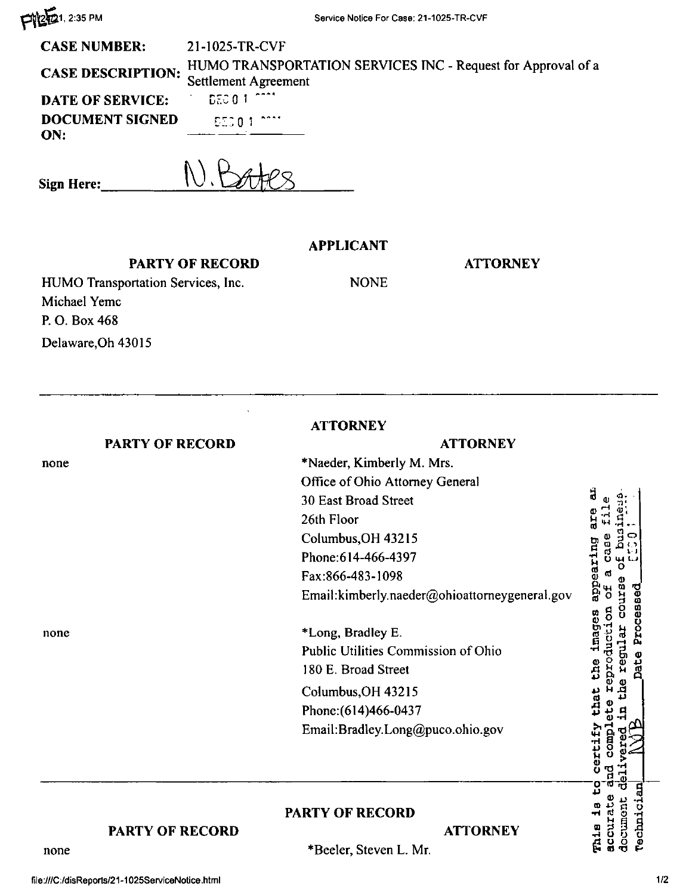**FYLE** 1, 2:35 PM

| <b>CASE NUMBER:</b>                    | 21-1025-TR-CVF                                               |
|----------------------------------------|--------------------------------------------------------------|
| CASE DESCRIPTION: Settlement Agreement | HUMO TRANSPORTATION SERVICES INC - Request for Approval of a |
| <b>DATE OF SERVICE:</b>                | <b>INDECIDENT OF THE</b>                                     |
| <b>DOCUMENT SIGNED</b><br>ON.          | <b>LESCO 1 COOM</b>                                          |

N. Bates Sign Here:

## **APPLICANT**

**NONE** 

## **PARTY OF RECORD**

HUMO Transportation Services, Inc. Michael Yemc P.O. Box 468 Delaware, Oh 43015

**ATTORNEY** 

|                        | <b>ATTORNEY</b>                               |
|------------------------|-----------------------------------------------|
| <b>PARTY OF RECORD</b> | <b>ATTORNEY</b>                               |
| none                   | *Naeder, Kimberly M. Mrs.                     |
|                        | Office of Ohio Attorney General               |
|                        | 30 East Broad Street                          |
|                        | 26th Floor                                    |
|                        | Columbus, OH 43215                            |
|                        | Phone: 614-466-4397                           |
|                        | Fax:866-483-1098                              |
|                        | Email:kimberly.naeder@ohioattorneygeneral.gov |
| none                   | *Long, Bradley E.                             |
|                        | Public Utilities Commission of Ohio           |
|                        | 180 E. Broad Street                           |
|                        | Columbus, OH 43215                            |
|                        | Phone: (614)466-0437                          |
|                        | Email:Bradley.Long@puco.ohio.gov              |
|                        |                                               |
|                        | <b>PARTY OF RECORD</b>                        |
| PARTY OF RECORD        | <b>ATTORNEY</b>                               |
| none                   | *Reeler_Steven I<br>Mr                        |